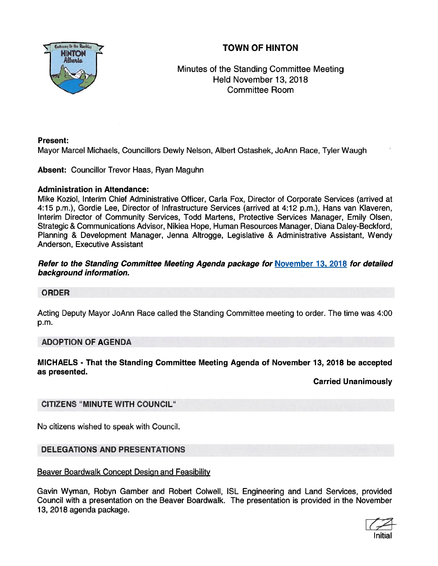

## TOWN OF HINTON

Minutes of the Standing Committee Meeting Held November 13, 2018 Committee Room

### Present:

Mayor Marcel Michaels, Councillors Dewly Nelson, Albert Ostashek, JoAnn Race, Tyler Waugh

Absent: Councillor Trevor Haas, Ryan Maguhn

#### Administration in Attendance:

Mike Koziol, Interim Chief Administrative Officer, Carla Fox, Director of Corporate Services (arrived at 4:15 p.m.), Gordie Lee, Director of Infrastructure Services (arrived at 4:12 p.m.), Hans van Klaveren, Interim Director of Community Services, Todd Martens, Protective Services Manager, Emily Olsen, Strategic & Communications Advisor, Nikiea Hope, Human Resources Manager, Diana Daley-Beckford, Planning & Development Manager, Jenna Altrogge, Legislative & Administrative Assistant, Wendy Anderson, Executive Assistant

### Refer to the Standing Committee Meeting Agenda package for November 13, 2018 for detailed background information.

## ORDER

Acting Deputy Mayor JoAnn Race called the Standing Committee meeting to order. The time was 4:00 p.m.

## ADOPTION OF AGENDA

MICHAELS - That the Standing Committee Meeting Agenda of November 13, 2018 be accepted as presented.

Carried Unanimously

## CITIZENS "MINUTE WITH COUNCIL"

No citizens wished to speak with Council.

## DELEGATIONS AND PRESENTATIONS

#### Beaver Boardwalk Concept Design and Feasibility

Gavin Wyman, Robyn Camber and Robert CoIwelI, ISL Engineering and Land Services, provided Council with <sup>a</sup> presentation on the Beaver Boardwalk. The presentation is provided in the November 13, 2018 agenda package.

Initial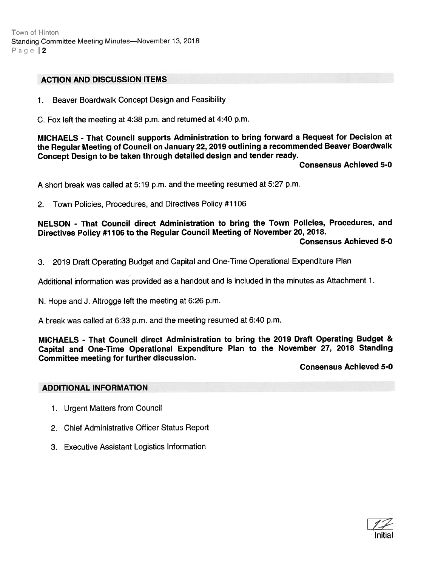Town of Hinton Standing Committee Meeting Minutes—November 13, <sup>2018</sup> Page  $|2$ 

#### ACTION AND DISCUSSION ITEMS

1. Beaver Boardwalk Concept Design and Feasibility

C. Fox left the meeting at 4:38 p.m. and returned at 4:40 p.m.

MICHAELS - That Council supports Administration to bring forward <sup>a</sup> Request for Decision at the Regular Meeting of Council on January 22, <sup>2079</sup> outlining <sup>a</sup> recommended Beaver Boardwalk Concept Design to be taken through detailed design and tender ready.

Consensus Achieved 5-0

<sup>A</sup> short break was called at 5:19 p.m. and the meeting resumed at 5:27 p.m.

2. Town Policies, Procedures, and Directives Policy #1 106

NELSON - That Council direct Administration to bring the Town Policies, Procedures, and Directives Policy #1 <sup>106</sup> to the Regular Council Meeting of November 20, 2018.

Consensus Achieved 5-0

3. <sup>2019</sup> Draft Operating Budget and Capital and One-Time Operational Expenditure Plan

Additional information was provided as <sup>a</sup> handout and is included in the minutes as Attachment 1.

N. Hope and J. Altrogge left the meeting at 6:26 p.m.

A break was called at 6:33 p.m. and the meeting resumed at 6:40 p.m.

MICHAELS - That Council direct Administration to bring the 2019 Draft Operating Budget & Capital and One-Time Operational Expenditure Plan to the November 27, <sup>2018</sup> Standing Committee meeting for further discussion.

Consensus Achieved 5-0

#### ADDITIONAL INFORMATION

- 1. Urgent Matters from Council
- 2. Chief Administrative Officer Status Report
- 3. Executive Assistant Logistics Information

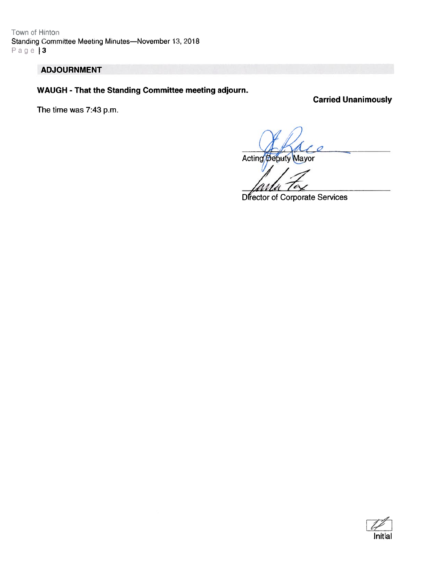Town of Hinton Standing Committee Meeting Minutes—November 13, 2018  $Page 13$ 

## ADJOURNMENT

WAUGH - That the Standing Committee meeting adjourn.

Carried Unanimously

The time was 7:43 p.m.

Acting Deputy Mayor

Director of Corporate Services